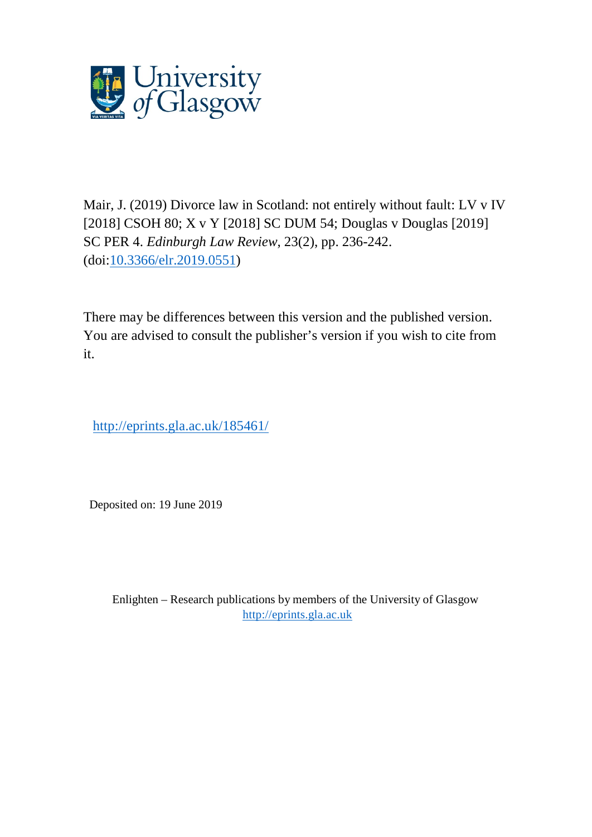

Mair, J. (2019) Divorce law in Scotland: not entirely without fault: LV v IV [2018] CSOH 80; X v Y [2018] SC DUM 54; Douglas v Douglas [2019] SC PER 4. *Edinburgh Law Review*, 23(2), pp. 236-242. (doi[:10.3366/elr.2019.0551\)](http://dx.doi.org/10.3366/elr.2019.0551)

There may be differences between this version and the published version. You are advised to consult the publisher's version if you wish to cite from it.

http://eprints.gla.ac.uk/185461/

Deposited on: 19 June 2019

Enlighten – Research publications by members of the University of Glasgow [http://eprints.gla.ac.uk](http://eprints.gla.ac.uk/)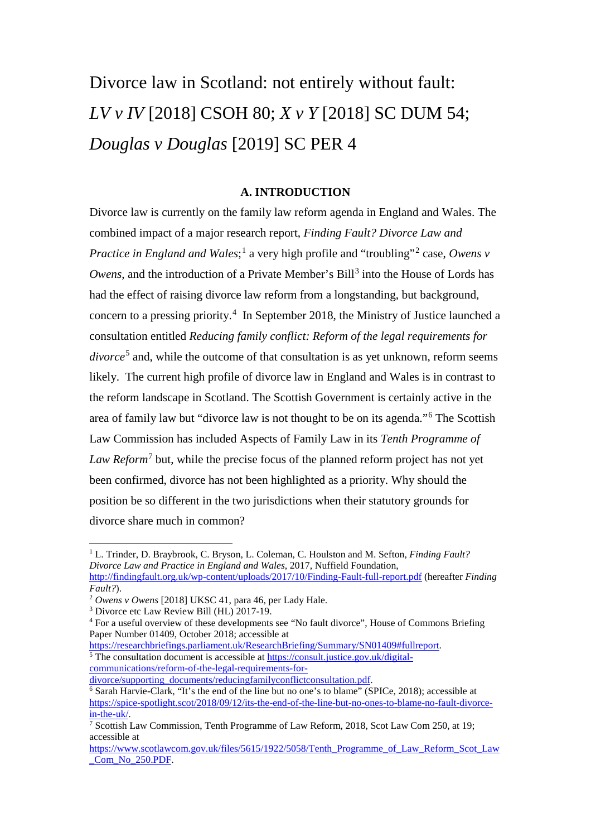# Divorce law in Scotland: not entirely without fault: *LV v IV* [2018] CSOH 80; *X v Y* [2018] SC DUM 54; *Douglas v Douglas* [2019] SC PER 4

## **A. INTRODUCTION**

Divorce law is currently on the family law reform agenda in England and Wales. The combined impact of a major research report, *Finding Fault? Divorce Law and Practice in England and Wales*;<sup>[1](#page-1-0)</sup> a very high profile and "troubling"<sup>[2](#page-1-1)</sup> case, *Owens v Owens*, and the introduction of a Private Member's Bill<sup>[3](#page-1-2)</sup> into the House of Lords has had the effect of raising divorce law reform from a longstanding, but background, concern to a pressing priority.<sup>[4](#page-1-3)</sup> In September 2018, the Ministry of Justice launched a consultation entitled *Reducing family conflict: Reform of the legal requirements for divorce*<sup>[5](#page-1-4)</sup> and, while the outcome of that consultation is as yet unknown, reform seems likely. The current high profile of divorce law in England and Wales is in contrast to the reform landscape in Scotland. The Scottish Government is certainly active in the area of family law but "divorce law is not thought to be on its agenda."[6](#page-1-5) The Scottish Law Commission has included Aspects of Family Law in its *Tenth Programme of Law Reform*[7](#page-1-6) but, while the precise focus of the planned reform project has not yet been confirmed, divorce has not been highlighted as a priority. Why should the position be so different in the two jurisdictions when their statutory grounds for divorce share much in common?

<span id="page-1-4"></span>[https://researchbriefings.parliament.uk/ResearchBriefing/Summary/SN01409#fullreport.](https://researchbriefings.parliament.uk/ResearchBriefing/Summary/SN01409#fullreport)<sup>5</sup> The consultation document is accessible at [https://consult.justice.gov.uk/digital](https://consult.justice.gov.uk/digital-communications/reform-of-the-legal-requirements-for-divorce/supporting_documents/reducingfamilyconflictconsultation.pdf)communications/reform-of-the-legal-requirements-for-<br>divorce/supporting\_documents/reducingfamilyconflictconsultation.pdf.

<span id="page-1-5"></span> $\overline{6}$  Sarah Harvie-Clark, "It's the end of the line but no one's to blame" (SPICe, 2018); accessible at [https://spice-spotlight.scot/2018/09/12/its-the-end-of-the-line-but-no-ones-to-blame-no-fault-divorce](https://spice-spotlight.scot/2018/09/12/its-the-end-of-the-line-but-no-ones-to-blame-no-fault-divorce-in-the-uk/)[in-the-uk/.](https://spice-spotlight.scot/2018/09/12/its-the-end-of-the-line-but-no-ones-to-blame-no-fault-divorce-in-the-uk/)

<span id="page-1-0"></span><sup>1</sup> L. Trinder, D. Braybrook, C. Bryson, L. Coleman, C. Houlston and M. Sefton, *Finding Fault? Divorce Law and Practice in England and Wales*, 2017, Nuffield Foundation, <http://findingfault.org.uk/wp-content/uploads/2017/10/Finding-Fault-full-report.pdf> (hereafter *Finding* 

*Fault?*).

<span id="page-1-1"></span><sup>2</sup> *Owens v Owens* [2018] UKSC 41, para 46, per Lady Hale.

<span id="page-1-2"></span><sup>3</sup> Divorce etc Law Review Bill (HL) 2017-19.

<span id="page-1-3"></span><sup>4</sup> For a useful overview of these developments see "No fault divorce", House of Commons Briefing Paper Number 01409, October 2018; accessible at

<span id="page-1-6"></span><sup>7</sup> Scottish Law Commission, Tenth Programme of Law Reform, 2018, Scot Law Com 250, at 19; accessible at

[https://www.scotlawcom.gov.uk/files/5615/1922/5058/Tenth\\_Programme\\_of\\_Law\\_Reform\\_Scot\\_Law](https://www.scotlawcom.gov.uk/files/5615/1922/5058/Tenth_Programme_of_Law_Reform_Scot_Law_Com_No_250.PDF) Com No 250.PDF.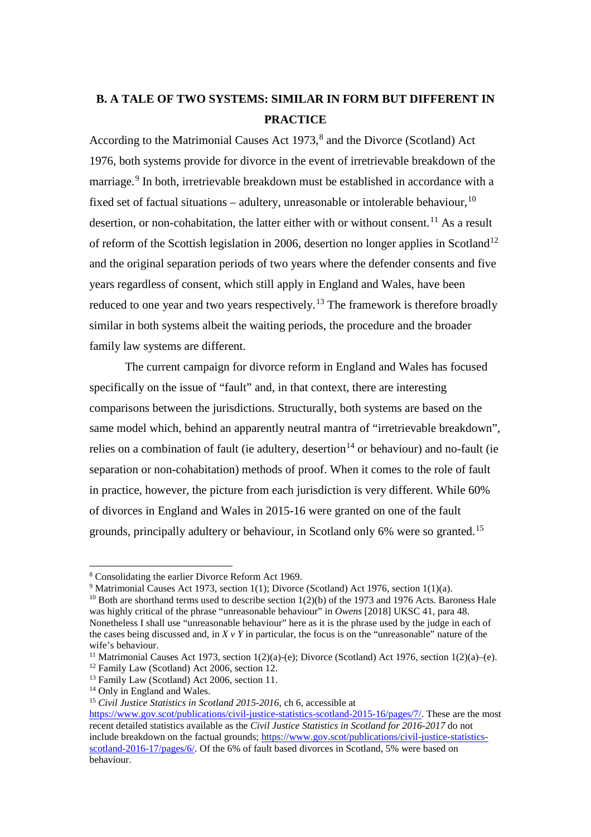# **B. A TALE OF TWO SYSTEMS: SIMILAR IN FORM BUT DIFFERENT IN PRACTICE**

According to the Matrimonial Causes Act  $1973$ ,<sup>[8](#page-2-0)</sup> and the Divorce (Scotland) Act 1976, both systems provide for divorce in the event of irretrievable breakdown of the marriage.<sup>[9](#page-2-1)</sup> In both, irretrievable breakdown must be established in accordance with a fixed set of factual situations – adultery, unreasonable or intolerable behaviour,  $10$ desertion, or non-cohabitation, the latter either with or without consent.<sup>[11](#page-2-3)</sup> As a result of reform of the Scottish legislation in 2006, desertion no longer applies in Scotland<sup>[12](#page-2-4)</sup> and the original separation periods of two years where the defender consents and five years regardless of consent, which still apply in England and Wales, have been reduced to one year and two years respectively.<sup>[13](#page-2-5)</sup> The framework is therefore broadly similar in both systems albeit the waiting periods, the procedure and the broader family law systems are different.

The current campaign for divorce reform in England and Wales has focused specifically on the issue of "fault" and, in that context, there are interesting comparisons between the jurisdictions. Structurally, both systems are based on the same model which, behind an apparently neutral mantra of "irretrievable breakdown", relies on a combination of fault (ie adultery, desertion<sup>[14](#page-2-6)</sup> or behaviour) and no-fault (ie separation or non-cohabitation) methods of proof. When it comes to the role of fault in practice, however, the picture from each jurisdiction is very different. While 60% of divorces in England and Wales in 2015-16 were granted on one of the fault grounds, principally adultery or behaviour, in Scotland only 6% were so granted.[15](#page-2-7)

<span id="page-2-0"></span><sup>8</sup> Consolidating the earlier Divorce Reform Act 1969.

<span id="page-2-1"></span><sup>9</sup> Matrimonial Causes Act 1973, section 1(1); Divorce (Scotland) Act 1976, section 1(1)(a).

<span id="page-2-2"></span><sup>&</sup>lt;sup>10</sup> Both are shorthand terms used to describe section  $1(2)(b)$  of the 1973 and 1976 Acts. Baroness Hale was highly critical of the phrase "unreasonable behaviour" in *Owens* [2018] UKSC 41, para 48. Nonetheless I shall use "unreasonable behaviour" here as it is the phrase used by the judge in each of the cases being discussed and, in *X v Y* in particular, the focus is on the "unreasonable" nature of the wife's behaviour.

<span id="page-2-3"></span><sup>&</sup>lt;sup>11</sup> Matrimonial Causes Act 1973, section  $1(2)(a)$ -(e); Divorce (Scotland) Act 1976, section  $1(2)(a)$ -(e).

<span id="page-2-4"></span><sup>&</sup>lt;sup>12</sup> Family Law (Scotland) Act 2006, section 12.

<span id="page-2-5"></span><sup>&</sup>lt;sup>13</sup> Family Law (Scotland) Act 2006, section 11.

<span id="page-2-6"></span><sup>&</sup>lt;sup>14</sup> Only in England and Wales.

<span id="page-2-7"></span><sup>15</sup> *Civil Justice Statistics in Scotland 2015-2016*, ch 6, accessible at

[https://www.gov.scot/publications/civil-justice-statistics-scotland-2015-16/pages/7/.](https://www.gov.scot/publications/civil-justice-statistics-scotland-2015-16/pages/7/) These are the most recent detailed statistics available as the *Civil Justice Statistics in Scotland for 2016-2017* do not include breakdown on the factual grounds; [https://www.gov.scot/publications/civil-justice-statistics](https://www.gov.scot/publications/civil-justice-statistics-scotland-2016-17/pages/6/)[scotland-2016-17/pages/6/.](https://www.gov.scot/publications/civil-justice-statistics-scotland-2016-17/pages/6/) Of the 6% of fault based divorces in Scotland, 5% were based on behaviour.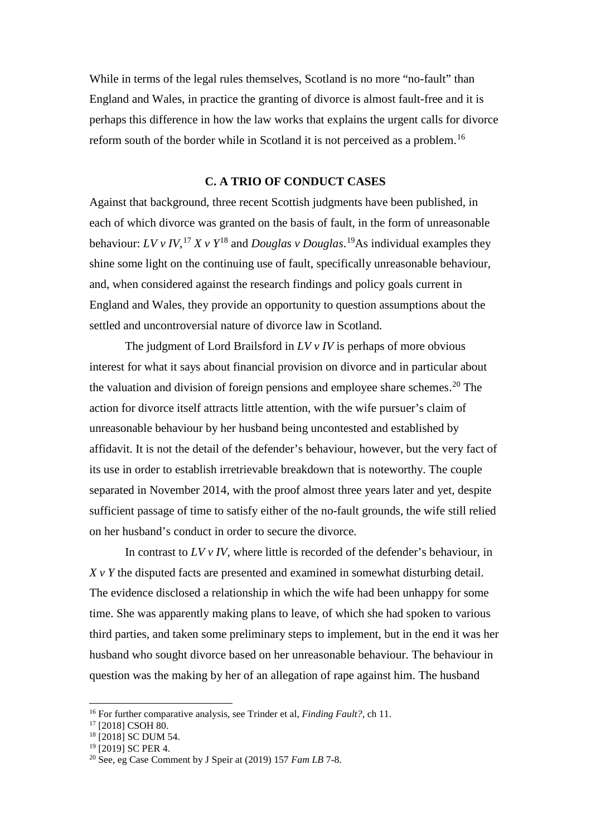While in terms of the legal rules themselves, Scotland is no more "no-fault" than England and Wales, in practice the granting of divorce is almost fault-free and it is perhaps this difference in how the law works that explains the urgent calls for divorce reform south of the border while in Scotland it is not perceived as a problem.[16](#page-3-0)

#### **C. A TRIO OF CONDUCT CASES**

Against that background, three recent Scottish judgments have been published, in each of which divorce was granted on the basis of fault, in the form of unreasonable behaviour: *LV v IV*, [17](#page-3-1) *X v Y*[18](#page-3-2) and *Douglas v Douglas*. [19](#page-3-3)As individual examples they shine some light on the continuing use of fault, specifically unreasonable behaviour, and, when considered against the research findings and policy goals current in England and Wales, they provide an opportunity to question assumptions about the settled and uncontroversial nature of divorce law in Scotland.

The judgment of Lord Brailsford in *LV v IV* is perhaps of more obvious interest for what it says about financial provision on divorce and in particular about the valuation and division of foreign pensions and employee share schemes. [20](#page-3-4) The action for divorce itself attracts little attention, with the wife pursuer's claim of unreasonable behaviour by her husband being uncontested and established by affidavit. It is not the detail of the defender's behaviour, however, but the very fact of its use in order to establish irretrievable breakdown that is noteworthy. The couple separated in November 2014, with the proof almost three years later and yet, despite sufficient passage of time to satisfy either of the no-fault grounds, the wife still relied on her husband's conduct in order to secure the divorce.

In contrast to *LV v IV*, where little is recorded of the defender's behaviour, in *X v Y* the disputed facts are presented and examined in somewhat disturbing detail. The evidence disclosed a relationship in which the wife had been unhappy for some time. She was apparently making plans to leave, of which she had spoken to various third parties, and taken some preliminary steps to implement, but in the end it was her husband who sought divorce based on her unreasonable behaviour. The behaviour in question was the making by her of an allegation of rape against him. The husband

<sup>16</sup> For further comparative analysis, see Trinder et al, *Finding Fault?*, ch 11.

<span id="page-3-1"></span><span id="page-3-0"></span><sup>17</sup> [2018] CSOH 80.

<span id="page-3-2"></span><sup>&</sup>lt;sup>18</sup> [2018] SC DUM 54.

<span id="page-3-3"></span><sup>&</sup>lt;sup>19</sup> [2019] SC PER 4.

<span id="page-3-4"></span><sup>20</sup> See, eg Case Comment by J Speir at (2019) 157 *Fam LB* 7-8.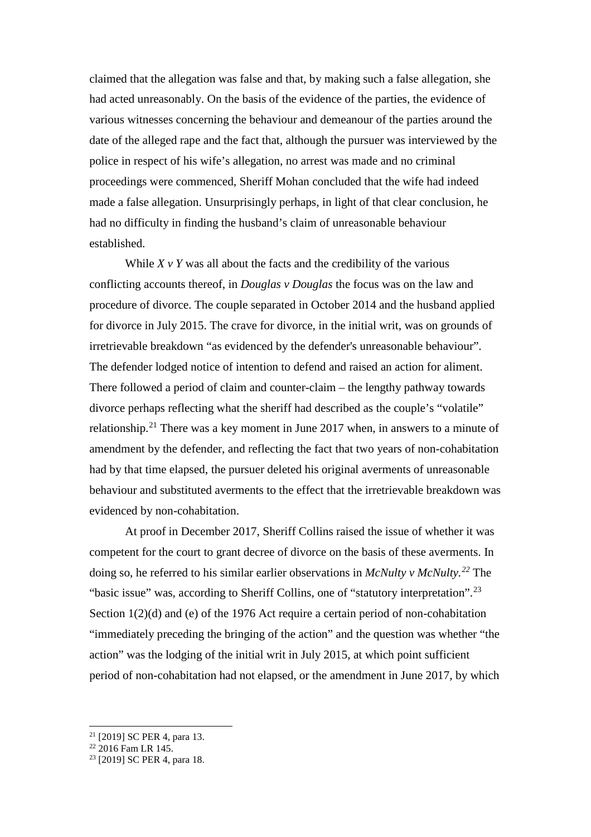claimed that the allegation was false and that, by making such a false allegation, she had acted unreasonably. On the basis of the evidence of the parties, the evidence of various witnesses concerning the behaviour and demeanour of the parties around the date of the alleged rape and the fact that, although the pursuer was interviewed by the police in respect of his wife's allegation, no arrest was made and no criminal proceedings were commenced, Sheriff Mohan concluded that the wife had indeed made a false allegation. Unsurprisingly perhaps, in light of that clear conclusion, he had no difficulty in finding the husband's claim of unreasonable behaviour established.

While  $X \vee Y$  was all about the facts and the credibility of the various conflicting accounts thereof, in *Douglas v Douglas* the focus was on the law and procedure of divorce. The couple separated in October 2014 and the husband applied for divorce in July 2015. The crave for divorce, in the initial writ, was on grounds of irretrievable breakdown "as evidenced by the defender's unreasonable behaviour". The defender lodged notice of intention to defend and raised an action for aliment. There followed a period of claim and counter-claim – the lengthy pathway towards divorce perhaps reflecting what the sheriff had described as the couple's "volatile" relationship.[21](#page-4-0) There was a key moment in June 2017 when, in answers to a minute of amendment by the defender, and reflecting the fact that two years of non-cohabitation had by that time elapsed, the pursuer deleted his original averments of unreasonable behaviour and substituted averments to the effect that the irretrievable breakdown was evidenced by non-cohabitation.

At proof in December 2017, Sheriff Collins raised the issue of whether it was competent for the court to grant decree of divorce on the basis of these averments. In doing so, he referred to his similar earlier observations in *McNulty v McNulty. [22](#page-4-1)* The "basic issue" was, according to Sheriff Collins, one of "statutory interpretation".<sup>[23](#page-4-2)</sup> Section 1(2)(d) and (e) of the 1976 Act require a certain period of non-cohabitation "immediately preceding the bringing of the action" and the question was whether "the action" was the lodging of the initial writ in July 2015, at which point sufficient period of non-cohabitation had not elapsed, or the amendment in June 2017, by which

<span id="page-4-0"></span><sup>21</sup> [2019] SC PER 4, para 13.

<span id="page-4-1"></span> $^{22}$  2016 Fam LR 145.

<span id="page-4-2"></span><sup>23</sup> [2019] SC PER 4, para 18.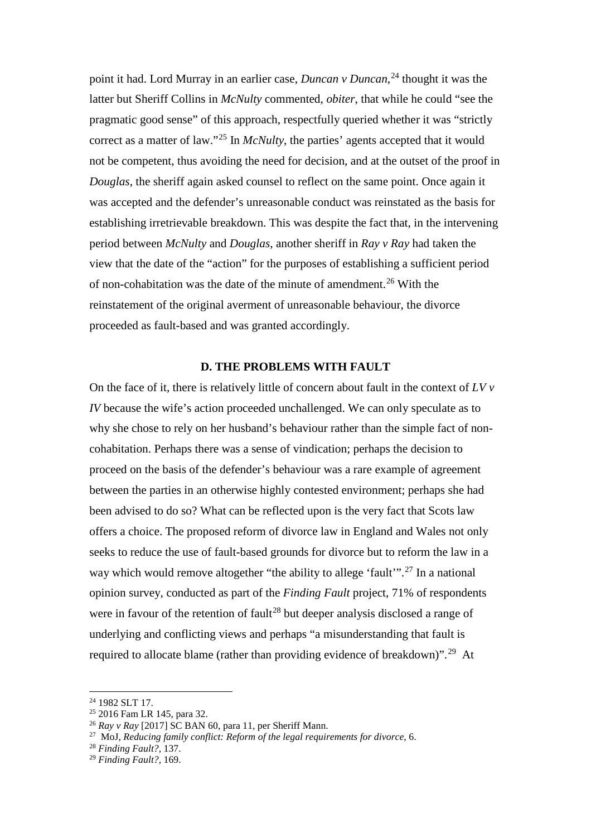point it had. Lord Murray in an earlier case, *Duncan v Duncan*, [24](#page-5-0) thought it was the latter but Sheriff Collins in *McNulty* commented, *obiter*, that while he could "see the pragmatic good sense" of this approach, respectfully queried whether it was "strictly correct as a matter of law."<sup>[25](#page-5-1)</sup> In *McNulty*, the parties' agents accepted that it would not be competent, thus avoiding the need for decision, and at the outset of the proof in *Douglas*, the sheriff again asked counsel to reflect on the same point. Once again it was accepted and the defender's unreasonable conduct was reinstated as the basis for establishing irretrievable breakdown. This was despite the fact that, in the intervening period between *McNulty* and *Douglas*, another sheriff in *Ray v Ray* had taken the view that the date of the "action" for the purposes of establishing a sufficient period of non-cohabitation was the date of the minute of amendment.<sup>[26](#page-5-2)</sup> With the reinstatement of the original averment of unreasonable behaviour, the divorce proceeded as fault-based and was granted accordingly.

### **D. THE PROBLEMS WITH FAULT**

On the face of it, there is relatively little of concern about fault in the context of *LV v IV* because the wife's action proceeded unchallenged. We can only speculate as to why she chose to rely on her husband's behaviour rather than the simple fact of noncohabitation. Perhaps there was a sense of vindication; perhaps the decision to proceed on the basis of the defender's behaviour was a rare example of agreement between the parties in an otherwise highly contested environment; perhaps she had been advised to do so? What can be reflected upon is the very fact that Scots law offers a choice. The proposed reform of divorce law in England and Wales not only seeks to reduce the use of fault-based grounds for divorce but to reform the law in a way which would remove altogether "the ability to allege 'fault'".<sup>[27](#page-5-3)</sup> In a national opinion survey, conducted as part of the *Finding Fault* project, 71% of respondents were in favour of the retention of fault<sup>[28](#page-5-4)</sup> but deeper analysis disclosed a range of underlying and conflicting views and perhaps "a misunderstanding that fault is required to allocate blame (rather than providing evidence of breakdown)".<sup>[29](#page-5-5)</sup> At

<span id="page-5-0"></span><sup>24</sup> 1982 SLT 17.

<span id="page-5-1"></span><sup>25</sup> 2016 Fam LR 145, para 32.

<span id="page-5-2"></span><sup>26</sup> *Ray v Ray* [2017] SC BAN 60, para 11, per Sheriff Mann.

<span id="page-5-3"></span><sup>27</sup> MoJ, *Reducing family conflict: Reform of the legal requirements for divorce*, 6.

<span id="page-5-4"></span><sup>28</sup> *Finding Fault?,* 137.

<span id="page-5-5"></span><sup>29</sup> *Finding Fault?*, 169.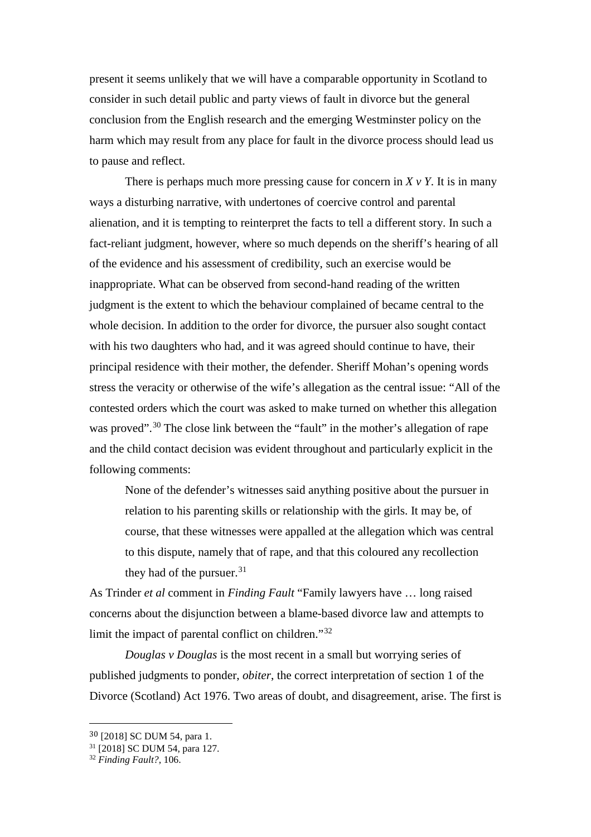present it seems unlikely that we will have a comparable opportunity in Scotland to consider in such detail public and party views of fault in divorce but the general conclusion from the English research and the emerging Westminster policy on the harm which may result from any place for fault in the divorce process should lead us to pause and reflect.

There is perhaps much more pressing cause for concern in  $X \vee Y$ . It is in many ways a disturbing narrative, with undertones of coercive control and parental alienation, and it is tempting to reinterpret the facts to tell a different story. In such a fact-reliant judgment, however, where so much depends on the sheriff's hearing of all of the evidence and his assessment of credibility, such an exercise would be inappropriate. What can be observed from second-hand reading of the written judgment is the extent to which the behaviour complained of became central to the whole decision. In addition to the order for divorce, the pursuer also sought contact with his two daughters who had, and it was agreed should continue to have, their principal residence with their mother, the defender. Sheriff Mohan's opening words stress the veracity or otherwise of the wife's allegation as the central issue: "All of the contested orders which the court was asked to make turned on whether this allegation was proved".<sup>[30](#page-6-0)</sup> The close link between the "fault" in the mother's allegation of rape and the child contact decision was evident throughout and particularly explicit in the following comments:

None of the defender's witnesses said anything positive about the pursuer in relation to his parenting skills or relationship with the girls. It may be, of course, that these witnesses were appalled at the allegation which was central to this dispute, namely that of rape, and that this coloured any recollection they had of the pursuer.<sup>[31](#page-6-1)</sup>

As Trinder *et al* comment in *Finding Fault* "Family lawyers have … long raised concerns about the disjunction between a blame-based divorce law and attempts to limit the impact of parental conflict on children."<sup>[32](#page-6-2)</sup>

*Douglas v Douglas* is the most recent in a small but worrying series of published judgments to ponder, *obiter*, the correct interpretation of section 1 of the Divorce (Scotland) Act 1976. Two areas of doubt, and disagreement, arise. The first is

<span id="page-6-1"></span><span id="page-6-0"></span> <sup>30</sup> [2018] SC DUM 54, para 1.

<sup>31</sup> [2018] SC DUM 54, para 127.

<span id="page-6-2"></span><sup>32</sup> *Finding Fault?*, 106.